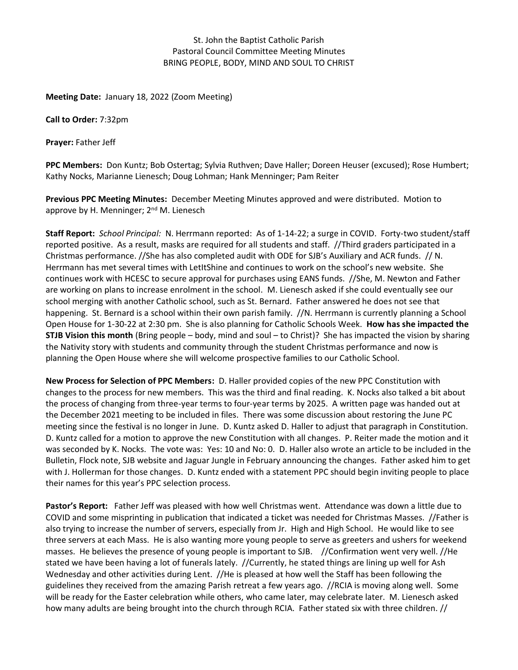### St. John the Baptist Catholic Parish Pastoral Council Committee Meeting Minutes BRING PEOPLE, BODY, MIND AND SOUL TO CHRIST

**Meeting Date:** January 18, 2022 (Zoom Meeting)

**Call to Order:** 7:32pm

**Prayer:** Father Jeff

**PPC Members:** Don Kuntz; Bob Ostertag; Sylvia Ruthven; Dave Haller; Doreen Heuser (excused); Rose Humbert; Kathy Nocks, Marianne Lienesch; Doug Lohman; Hank Menninger; Pam Reiter

**Previous PPC Meeting Minutes:** December Meeting Minutes approved and were distributed. Motion to approve by H. Menninger; 2<sup>nd</sup> M. Lienesch

**Staff Report:** *School Principal:* N. Herrmann reported: As of 1-14-22; a surge in COVID. Forty-two student/staff reported positive. As a result, masks are required for all students and staff. //Third graders participated in a Christmas performance. //She has also completed audit with ODE for SJB's Auxiliary and ACR funds. // N. Herrmann has met several times with LetItShine and continues to work on the school's new website. She continues work with HCESC to secure approval for purchases using EANS funds. //She, M. Newton and Father are working on plans to increase enrolment in the school. M. Lienesch asked if she could eventually see our school merging with another Catholic school, such as St. Bernard. Father answered he does not see that happening. St. Bernard is a school within their own parish family. //N. Herrmann is currently planning a School Open House for 1-30-22 at 2:30 pm. She is also planning for Catholic Schools Week. **How has she impacted the STJB Vision this month** (Bring people – body, mind and soul – to Christ)?She has impacted the vision by sharing the Nativity story with students and community through the student Christmas performance and now is planning the Open House where she will welcome prospective families to our Catholic School.

**New Process for Selection of PPC Members:** D. Haller provided copies of the new PPC Constitution with changes to the process for new members. This was the third and final reading. K. Nocks also talked a bit about the process of changing from three-year terms to four-year terms by 2025. A written page was handed out at the December 2021 meeting to be included in files. There was some discussion about restoring the June PC meeting since the festival is no longer in June. D. Kuntz asked D. Haller to adjust that paragraph in Constitution. D. Kuntz called for a motion to approve the new Constitution with all changes. P. Reiter made the motion and it was seconded by K. Nocks. The vote was: Yes: 10 and No: 0. D. Haller also wrote an article to be included in the Bulletin, Flock note, SJB website and Jaguar Jungle in February announcing the changes. Father asked him to get with J. Hollerman for those changes. D. Kuntz ended with a statement PPC should begin inviting people to place their names for this year's PPC selection process.

**Pastor's Report:** Father Jeff was pleased with how well Christmas went. Attendance was down a little due to COVID and some misprinting in publication that indicated a ticket was needed for Christmas Masses. //Father is also trying to increase the number of servers, especially from Jr. High and High School. He would like to see three servers at each Mass. He is also wanting more young people to serve as greeters and ushers for weekend masses. He believes the presence of young people is important to SJB. //Confirmation went very well. //He stated we have been having a lot of funerals lately. //Currently, he stated things are lining up well for Ash Wednesday and other activities during Lent. //He is pleased at how well the Staff has been following the guidelines they received from the amazing Parish retreat a few years ago. //RCIA is moving along well. Some will be ready for the Easter celebration while others, who came later, may celebrate later. M. Lienesch asked how many adults are being brought into the church through RCIA. Father stated six with three children. //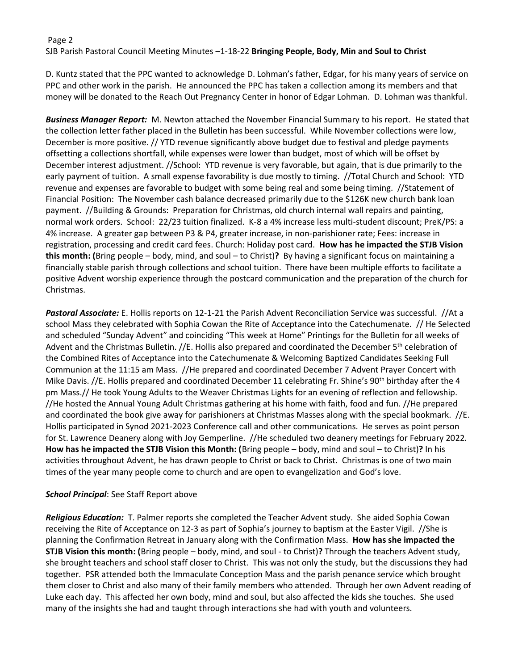# Page 2 SJB Parish Pastoral Council Meeting Minutes –1-18-22 **Bringing People, Body, Min and Soul to Christ**

D. Kuntz stated that the PPC wanted to acknowledge D. Lohman's father, Edgar, for his many years of service on PPC and other work in the parish. He announced the PPC has taken a collection among its members and that money will be donated to the Reach Out Pregnancy Center in honor of Edgar Lohman. D. Lohman was thankful.

*Business Manager Report:* M. Newton attached the November Financial Summary to his report. He stated that the collection letter father placed in the Bulletin has been successful. While November collections were low, December is more positive. // YTD revenue significantly above budget due to festival and pledge payments offsetting a collections shortfall, while expenses were lower than budget, most of which will be offset by December interest adjustment. //School: YTD revenue is very favorable, but again, that is due primarily to the early payment of tuition. A small expense favorability is due mostly to timing. //Total Church and School: YTD revenue and expenses are favorable to budget with some being real and some being timing. //Statement of Financial Position: The November cash balance decreased primarily due to the \$126K new church bank loan payment. //Building & Grounds: Preparation for Christmas, old church internal wall repairs and painting, normal work orders. School: 22/23 tuition finalized. K-8 a 4% increase less multi-student discount; PreK/PS: a 4% increase. A greater gap between P3 & P4, greater increase, in non-parishioner rate; Fees: increase in registration, processing and credit card fees. Church: Holiday post card. **How has he impacted the STJB Vision this month: (**Bring people – body, mind, and soul – to Christ)**?** By having a significant focus on maintaining a financially stable parish through collections and school tuition. There have been multiple efforts to facilitate a positive Advent worship experience through the postcard communication and the preparation of the church for Christmas.

*Pastoral Associate:* E. Hollis reports on 12-1-21 the Parish Advent Reconciliation Service was successful. //At a school Mass they celebrated with Sophia Cowan the Rite of Acceptance into the Catechumenate. // He Selected and scheduled "Sunday Advent" and coinciding "This week at Home" Printings for the Bulletin for all weeks of Advent and the Christmas Bulletin. //E. Hollis also prepared and coordinated the December 5th celebration of the Combined Rites of Acceptance into the Catechumenate & Welcoming Baptized Candidates Seeking Full Communion at the 11:15 am Mass. //He prepared and coordinated December 7 Advent Prayer Concert with Mike Davis. //E. Hollis prepared and coordinated December 11 celebrating Fr. Shine's 90<sup>th</sup> birthday after the 4 pm Mass.// He took Young Adults to the Weaver Christmas Lights for an evening of reflection and fellowship. //He hosted the Annual Young Adult Christmas gathering at his home with faith, food and fun. //He prepared and coordinated the book give away for parishioners at Christmas Masses along with the special bookmark. //E. Hollis participated in Synod 2021-2023 Conference call and other communications. He serves as point person for St. Lawrence Deanery along with Joy Gemperline. //He scheduled two deanery meetings for February 2022. **How has he impacted the STJB Vision this Month: (**Bring people – body, mind and soul – to Christ)**?** In his activities throughout Advent, he has drawn people to Christ or back to Christ. Christmas is one of two main times of the year many people come to church and are open to evangelization and God's love.

### *School Principal*: See Staff Report above

*Religious Education:* T. Palmer reports she completed the Teacher Advent study. She aided Sophia Cowan receiving the Rite of Acceptance on 12-3 as part of Sophia's journey to baptism at the Easter Vigil. //She is planning the Confirmation Retreat in January along with the Confirmation Mass. **How has she impacted the STJB Vision this month: (**Bring people – body, mind, and soul - to Christ)**?** Through the teachers Advent study, she brought teachers and school staff closer to Christ. This was not only the study, but the discussions they had together. PSR attended both the Immaculate Conception Mass and the parish penance service which brought them closer to Christ and also many of their family members who attended. Through her own Advent reading of Luke each day. This affected her own body, mind and soul, but also affected the kids she touches. She used many of the insights she had and taught through interactions she had with youth and volunteers.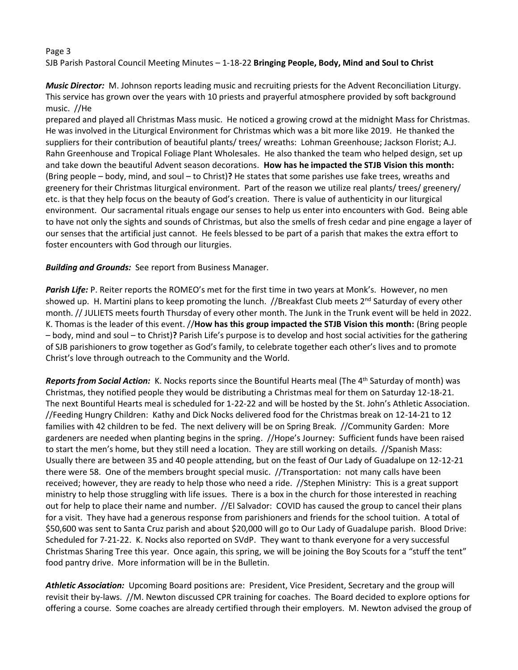#### Page 3 SJB Parish Pastoral Council Meeting Minutes – 1-18-22 **Bringing People, Body, Mind and Soul to Christ**

*Music Director:* M. Johnson reports leading music and recruiting priests for the Advent Reconciliation Liturgy. This service has grown over the years with 10 priests and prayerful atmosphere provided by soft background music. //He

prepared and played all Christmas Mass music. He noticed a growing crowd at the midnight Mass for Christmas. He was involved in the Liturgical Environment for Christmas which was a bit more like 2019. He thanked the suppliers for their contribution of beautiful plants/ trees/ wreaths: Lohman Greenhouse; Jackson Florist; A.J. Rahn Greenhouse and Tropical Foliage Plant Wholesales. He also thanked the team who helped design, set up and take down the beautiful Advent season decorations. **How has he impacted the STJB Vision this month:**  (Bring people – body, mind, and soul – to Christ)**?** He states that some parishes use fake trees, wreaths and greenery for their Christmas liturgical environment. Part of the reason we utilize real plants/ trees/ greenery/ etc. is that they help focus on the beauty of God's creation. There is value of authenticity in our liturgical environment. Our sacramental rituals engage our senses to help us enter into encounters with God. Being able to have not only the sights and sounds of Christmas, but also the smells of fresh cedar and pine engage a layer of our senses that the artificial just cannot. He feels blessed to be part of a parish that makes the extra effort to foster encounters with God through our liturgies.

*Building and Grounds:* See report from Business Manager.

*Parish Life:* P. Reiter reports the ROMEO's met for the first time in two years at Monk's. However, no men showed up. H. Martini plans to keep promoting the lunch. //Breakfast Club meets  $2^{nd}$  Saturday of every other month. // JULIETS meets fourth Thursday of every other month. The Junk in the Trunk event will be held in 2022. K. Thomas is the leader of this event. //**How has this group impacted the STJB Vision this month:** (Bring people – body, mind and soul – to Christ)**?** Parish Life's purpose is to develop and host social activities for the gathering of SJB parishioners to grow together as God's family, to celebrate together each other's lives and to promote Christ's love through outreach to the Community and the World.

*Reports from Social Action:* K. Nocks reports since the Bountiful Hearts meal (The 4th Saturday of month) was Christmas, they notified people they would be distributing a Christmas meal for them on Saturday 12-18-21. The next Bountiful Hearts meal is scheduled for 1-22-22 and will be hosted by the St. John's Athletic Association. //Feeding Hungry Children: Kathy and Dick Nocks delivered food for the Christmas break on 12-14-21 to 12 families with 42 children to be fed. The next delivery will be on Spring Break. //Community Garden: More gardeners are needed when planting begins in the spring. //Hope's Journey: Sufficient funds have been raised to start the men's home, but they still need a location. They are still working on details. //Spanish Mass: Usually there are between 35 and 40 people attending, but on the feast of Our Lady of Guadalupe on 12-12-21 there were 58. One of the members brought special music. //Transportation: not many calls have been received; however, they are ready to help those who need a ride. //Stephen Ministry: This is a great support ministry to help those struggling with life issues. There is a box in the church for those interested in reaching out for help to place their name and number. //El Salvador: COVID has caused the group to cancel their plans for a visit. They have had a generous response from parishioners and friends for the school tuition. A total of \$50,600 was sent to Santa Cruz parish and about \$20,000 will go to Our Lady of Guadalupe parish. Blood Drive: Scheduled for 7-21-22. K. Nocks also reported on SVdP. They want to thank everyone for a very successful Christmas Sharing Tree this year. Once again, this spring, we will be joining the Boy Scouts for a "stuff the tent" food pantry drive. More information will be in the Bulletin.

*Athletic Association:* Upcoming Board positions are: President, Vice President, Secretary and the group will revisit their by-laws. //M. Newton discussed CPR training for coaches. The Board decided to explore options for offering a course. Some coaches are already certified through their employers. M. Newton advised the group of